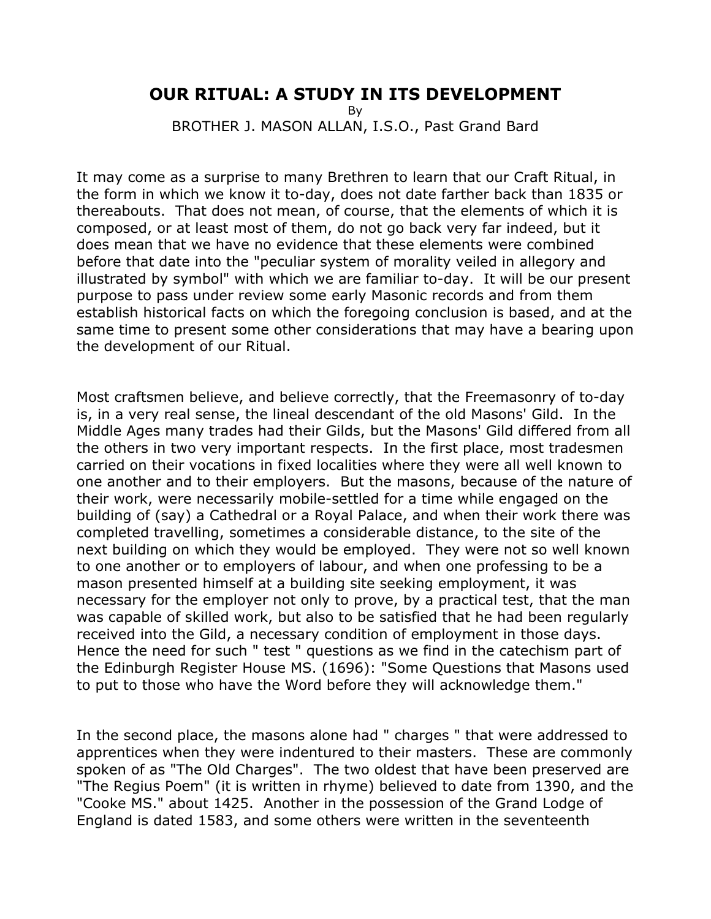## **OUR RITUAL: A STUDY IN ITS DEVELOPMENT**

By

BROTHER J. MASON ALLAN, I.S.O., Past Grand Bard

It may come as a surprise to many Brethren to learn that our Craft Ritual, in the form in which we know it to-day, does not date farther back than 1835 or thereabouts. That does not mean, of course, that the elements of which it is composed, or at least most of them, do not go back very far indeed, but it does mean that we have no evidence that these elements were combined before that date into the "peculiar system of morality veiled in allegory and illustrated by symbol" with which we are familiar to-day. It will be our present purpose to pass under review some early Masonic records and from them establish historical facts on which the foregoing conclusion is based, and at the same time to present some other considerations that may have a bearing upon the development of our Ritual.

Most craftsmen believe, and believe correctly, that the Freemasonry of to-day is, in a very real sense, the lineal descendant of the old Masons' Gild. In the Middle Ages many trades had their Gilds, but the Masons' Gild differed from all the others in two very important respects. In the first place, most tradesmen carried on their vocations in fixed localities where they were all well known to one another and to their employers. But the masons, because of the nature of their work, were necessarily mobile-settled for a time while engaged on the building of (say) a Cathedral or a Royal Palace, and when their work there was completed travelling, sometimes a considerable distance, to the site of the next building on which they would be employed. They were not so well known to one another or to employers of labour, and when one professing to be a mason presented himself at a building site seeking employment, it was necessary for the employer not only to prove, by a practical test, that the man was capable of skilled work, but also to be satisfied that he had been regularly received into the Gild, a necessary condition of employment in those days. Hence the need for such " test " questions as we find in the catechism part of the Edinburgh Register House MS. (1696): "Some Questions that Masons used to put to those who have the Word before they will acknowledge them."

In the second place, the masons alone had " charges " that were addressed to apprentices when they were indentured to their masters. These are commonly spoken of as "The Old Charges". The two oldest that have been preserved are "The Regius Poem" (it is written in rhyme) believed to date from 1390, and the "Cooke MS." about 1425. Another in the possession of the Grand Lodge of England is dated 1583, and some others were written in the seventeenth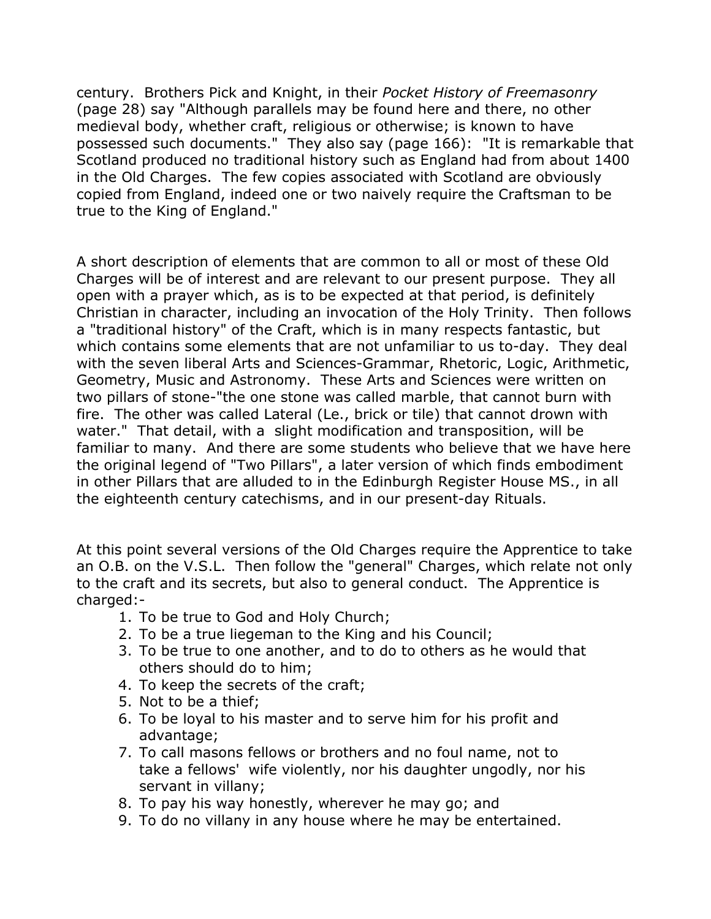century. Brothers Pick and Knight, in their *Pocket History of Freemasonry* (page 28) say "Although parallels may be found here and there, no other medieval body, whether craft, religious or otherwise; is known to have possessed such documents." They also say (page 166): "It is remarkable that Scotland produced no traditional history such as England had from about 1400 in the Old Charges. The few copies associated with Scotland are obviously copied from England, indeed one or two naively require the Craftsman to be true to the King of England."

A short description of elements that are common to all or most of these Old Charges will be of interest and are relevant to our present purpose. They all open with a prayer which, as is to be expected at that period, is definitely Christian in character, including an invocation of the Holy Trinity. Then follows a "traditional history" of the Craft, which is in many respects fantastic, but which contains some elements that are not unfamiliar to us to-day. They deal with the seven liberal Arts and Sciences-Grammar, Rhetoric, Logic, Arithmetic, Geometry, Music and Astronomy. These Arts and Sciences were written on two pillars of stone-"the one stone was called marble, that cannot burn with fire. The other was called Lateral (Le., brick or tile) that cannot drown with water." That detail, with a slight modification and transposition, will be familiar to many. And there are some students who believe that we have here the original legend of "Two Pillars", a later version of which finds embodiment in other Pillars that are alluded to in the Edinburgh Register House MS., in all the eighteenth century catechisms, and in our present-day Rituals.

At this point several versions of the Old Charges require the Apprentice to take an O.B. on the V.S.L. Then follow the "general" Charges, which relate not only to the craft and its secrets, but also to general conduct. The Apprentice is charged:-

- 1. To be true to God and Holy Church;
- 2. To be a true liegeman to the King and his Council;
- 3. To be true to one another, and to do to others as he would that others should do to him;
- 4. To keep the secrets of the craft;
- 5. Not to be a thief;
- 6. To be loyal to his master and to serve him for his profit and advantage;
- 7. To call masons fellows or brothers and no foul name, not to take a fellows' wife violently, nor his daughter ungodly, nor his servant in villany;
- 8. To pay his way honestly, wherever he may go; and
- 9. To do no villany in any house where he may be entertained.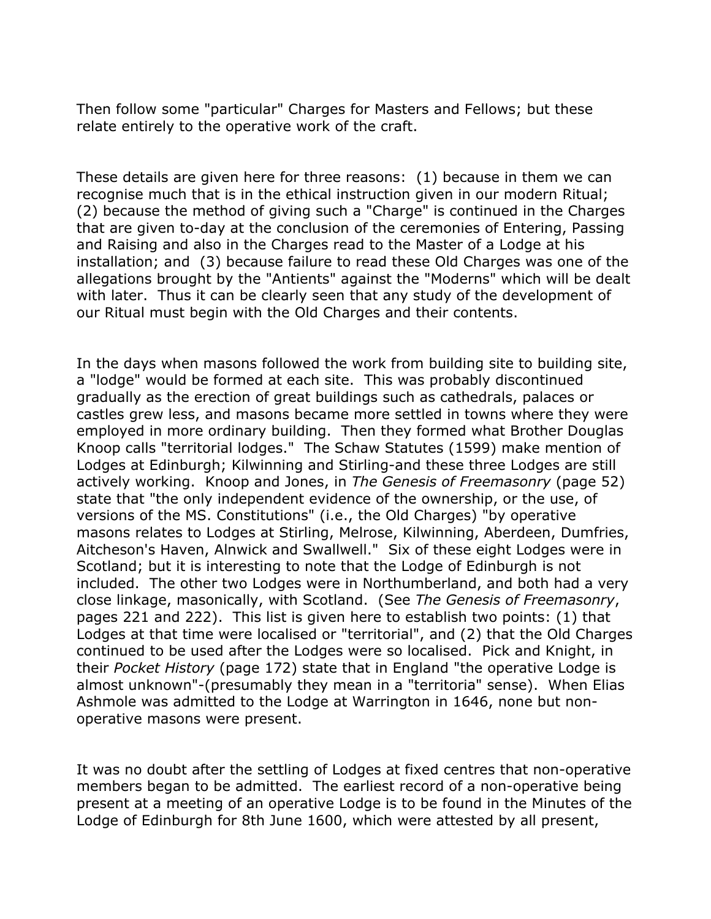Then follow some "particular" Charges for Masters and Fellows; but these relate entirely to the operative work of the craft.

These details are given here for three reasons: (1) because in them we can recognise much that is in the ethical instruction given in our modern Ritual; (2) because the method of giving such a "Charge" is continued in the Charges that are given to-day at the conclusion of the ceremonies of Entering, Passing and Raising and also in the Charges read to the Master of a Lodge at his installation; and (3) because failure to read these Old Charges was one of the allegations brought by the "Antients" against the "Moderns" which will be dealt with later. Thus it can be clearly seen that any study of the development of our Ritual must begin with the Old Charges and their contents.

In the days when masons followed the work from building site to building site, a "lodge" would be formed at each site. This was probably discontinued gradually as the erection of great buildings such as cathedrals, palaces or castles grew less, and masons became more settled in towns where they were employed in more ordinary building. Then they formed what Brother Douglas Knoop calls "territorial lodges." The Schaw Statutes (1599) make mention of Lodges at Edinburgh; Kilwinning and Stirling-and these three Lodges are still actively working. Knoop and Jones, in *The Genesis of Freemasonry* (page 52) state that "the only independent evidence of the ownership, or the use, of versions of the MS. Constitutions" (i.e., the Old Charges) "by operative masons relates to Lodges at Stirling, Melrose, Kilwinning, Aberdeen, Dumfries, Aitcheson's Haven, Alnwick and Swallwell." Six of these eight Lodges were in Scotland; but it is interesting to note that the Lodge of Edinburgh is not included. The other two Lodges were in Northumberland, and both had a very close linkage, masonically, with Scotland. (See *The Genesis of Freemasonry*, pages 221 and 222). This list is given here to establish two points: (1) that Lodges at that time were localised or "territorial", and (2) that the Old Charges continued to be used after the Lodges were so localised. Pick and Knight, in their *Pocket History* (page 172) state that in England "the operative Lodge is almost unknown"-(presumably they mean in a "territoria" sense). When Elias Ashmole was admitted to the Lodge at Warrington in 1646, none but nonoperative masons were present.

It was no doubt after the settling of Lodges at fixed centres that non-operative members began to be admitted. The earliest record of a non-operative being present at a meeting of an operative Lodge is to be found in the Minutes of the Lodge of Edinburgh for 8th June 1600, which were attested by all present,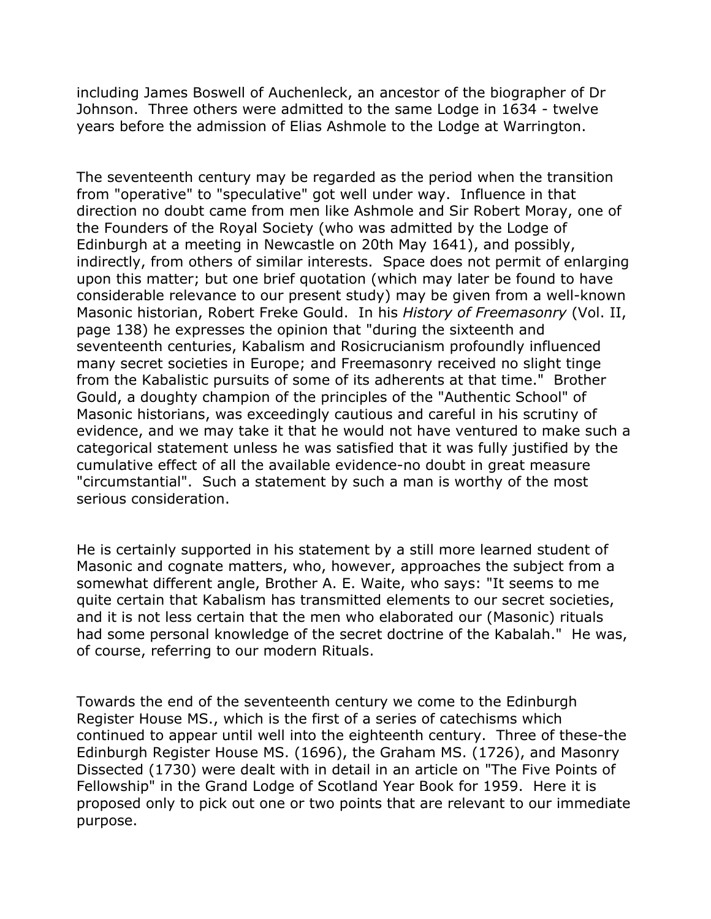including James Boswell of Auchenleck, an ancestor of the biographer of Dr Johnson. Three others were admitted to the same Lodge in 1634 - twelve years before the admission of Elias Ashmole to the Lodge at Warrington.

The seventeenth century may be regarded as the period when the transition from "operative" to "speculative" got well under way. Influence in that direction no doubt came from men like Ashmole and Sir Robert Moray, one of the Founders of the Royal Society (who was admitted by the Lodge of Edinburgh at a meeting in Newcastle on 20th May 1641), and possibly, indirectly, from others of similar interests. Space does not permit of enlarging upon this matter; but one brief quotation (which may later be found to have considerable relevance to our present study) may be given from a well-known Masonic historian, Robert Freke Gould. In his *History of Freemasonry* (Vol. II, page 138) he expresses the opinion that "during the sixteenth and seventeenth centuries, Kabalism and Rosicrucianism profoundly influenced many secret societies in Europe; and Freemasonry received no slight tinge from the Kabalistic pursuits of some of its adherents at that time." Brother Gould, a doughty champion of the principles of the "Authentic School" of Masonic historians, was exceedingly cautious and careful in his scrutiny of evidence, and we may take it that he would not have ventured to make such a categorical statement unless he was satisfied that it was fully justified by the cumulative effect of all the available evidence-no doubt in great measure "circumstantial". Such a statement by such a man is worthy of the most serious consideration.

He is certainly supported in his statement by a still more learned student of Masonic and cognate matters, who, however, approaches the subject from a somewhat different angle, Brother A. E. Waite, who says: "It seems to me quite certain that Kabalism has transmitted elements to our secret societies, and it is not less certain that the men who elaborated our (Masonic) rituals had some personal knowledge of the secret doctrine of the Kabalah." He was, of course, referring to our modern Rituals.

Towards the end of the seventeenth century we come to the Edinburgh Register House MS., which is the first of a series of catechisms which continued to appear until well into the eighteenth century. Three of these-the Edinburgh Register House MS. (1696), the Graham MS. (1726), and Masonry Dissected (1730) were dealt with in detail in an article on "The Five Points of Fellowship" in the Grand Lodge of Scotland Year Book for 1959. Here it is proposed only to pick out one or two points that are relevant to our immediate purpose.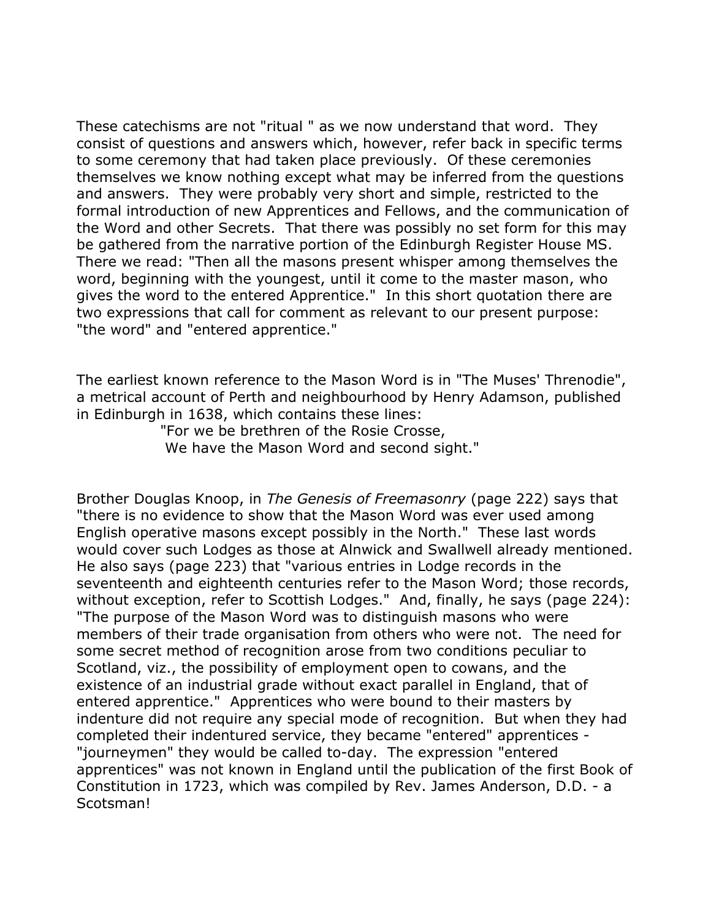These catechisms are not "ritual " as we now understand that word. They consist of questions and answers which, however, refer back in specific terms to some ceremony that had taken place previously. Of these ceremonies themselves we know nothing except what may be inferred from the questions and answers. They were probably very short and simple, restricted to the formal introduction of new Apprentices and Fellows, and the communication of the Word and other Secrets. That there was possibly no set form for this may be gathered from the narrative portion of the Edinburgh Register House MS. There we read: "Then all the masons present whisper among themselves the word, beginning with the youngest, until it come to the master mason, who gives the word to the entered Apprentice." In this short quotation there are two expressions that call for comment as relevant to our present purpose: "the word" and "entered apprentice."

The earliest known reference to the Mason Word is in "The Muses' Threnodie", a metrical account of Perth and neighbourhood by Henry Adamson, published in Edinburgh in 1638, which contains these lines:

> "For we be brethren of the Rosie Crosse, We have the Mason Word and second sight."

Brother Douglas Knoop, in *The Genesis of Freemasonry* (page 222) says that "there is no evidence to show that the Mason Word was ever used among English operative masons except possibly in the North." These last words would cover such Lodges as those at Alnwick and Swallwell already mentioned. He also says (page 223) that "various entries in Lodge records in the seventeenth and eighteenth centuries refer to the Mason Word; those records, without exception, refer to Scottish Lodges." And, finally, he says (page 224): "The purpose of the Mason Word was to distinguish masons who were members of their trade organisation from others who were not. The need for some secret method of recognition arose from two conditions peculiar to Scotland, viz., the possibility of employment open to cowans, and the existence of an industrial grade without exact parallel in England, that of entered apprentice." Apprentices who were bound to their masters by indenture did not require any special mode of recognition. But when they had completed their indentured service, they became "entered" apprentices - "journeymen" they would be called to-day. The expression "entered apprentices" was not known in England until the publication of the first Book of Constitution in 1723, which was compiled by Rev. James Anderson, D.D. - a Scotsman!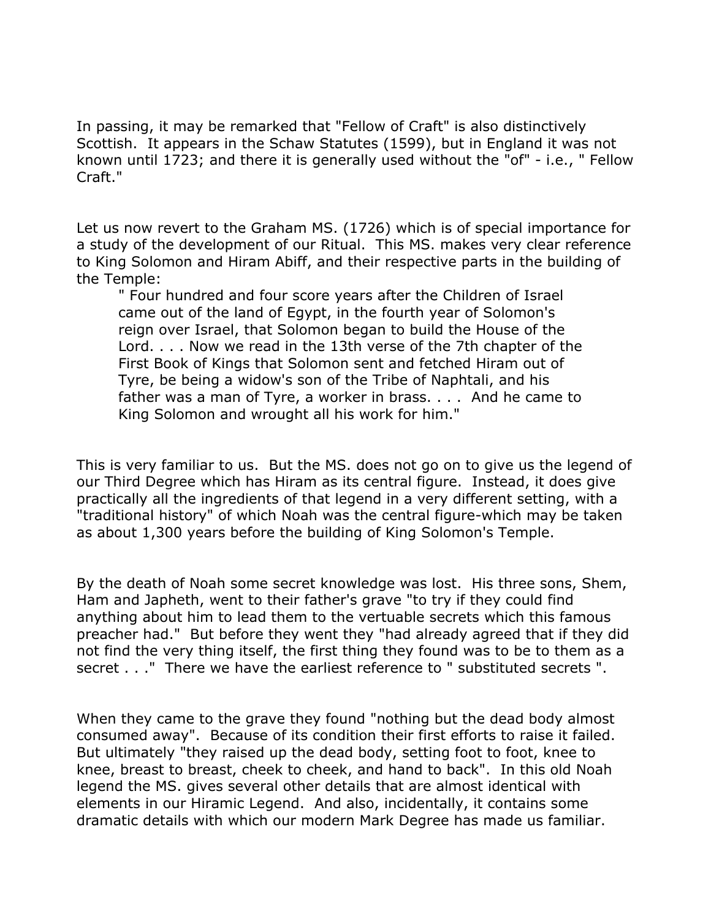In passing, it may be remarked that "Fellow of Craft" is also distinctively Scottish. It appears in the Schaw Statutes (1599), but in England it was not known until 1723; and there it is generally used without the "of" - i.e., " Fellow Craft."

Let us now revert to the Graham MS. (1726) which is of special importance for a study of the development of our Ritual. This MS. makes very clear reference to King Solomon and Hiram Abiff, and their respective parts in the building of the Temple:

" Four hundred and four score years after the Children of Israel came out of the land of Egypt, in the fourth year of Solomon's reign over Israel, that Solomon began to build the House of the Lord. . . . Now we read in the 13th verse of the 7th chapter of the First Book of Kings that Solomon sent and fetched Hiram out of Tyre, be being a widow's son of the Tribe of Naphtali, and his father was a man of Tyre, a worker in brass. . . . And he came to King Solomon and wrought all his work for him."

This is very familiar to us. But the MS. does not go on to give us the legend of our Third Degree which has Hiram as its central figure. Instead, it does give practically all the ingredients of that legend in a very different setting, with a "traditional history" of which Noah was the central figure-which may be taken as about 1,300 years before the building of King Solomon's Temple.

By the death of Noah some secret knowledge was lost. His three sons, Shem, Ham and Japheth, went to their father's grave "to try if they could find anything about him to lead them to the vertuable secrets which this famous preacher had." But before they went they "had already agreed that if they did not find the very thing itself, the first thing they found was to be to them as a secret . . ." There we have the earliest reference to " substituted secrets ".

When they came to the grave they found "nothing but the dead body almost consumed away". Because of its condition their first efforts to raise it failed. But ultimately "they raised up the dead body, setting foot to foot, knee to knee, breast to breast, cheek to cheek, and hand to back". In this old Noah legend the MS. gives several other details that are almost identical with elements in our Hiramic Legend. And also, incidentally, it contains some dramatic details with which our modern Mark Degree has made us familiar.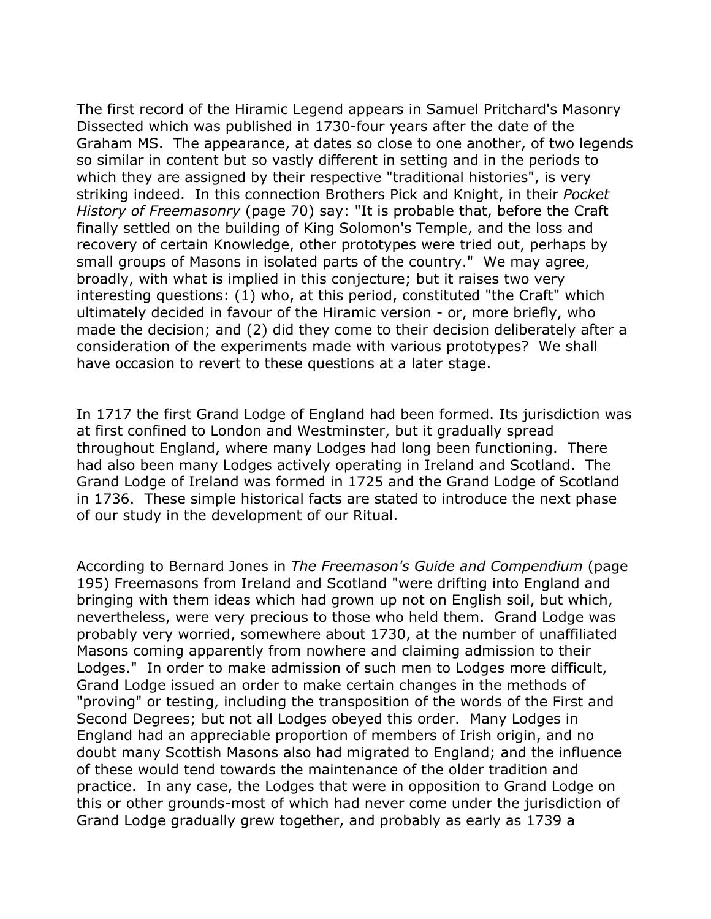The first record of the Hiramic Legend appears in Samuel Pritchard's Masonry Dissected which was published in 1730-four years after the date of the Graham MS. The appearance, at dates so close to one another, of two legends so similar in content but so vastly different in setting and in the periods to which they are assigned by their respective "traditional histories", is very striking indeed. In this connection Brothers Pick and Knight, in their *Pocket History of Freemasonry* (page 70) say: "It is probable that, before the Craft finally settled on the building of King Solomon's Temple, and the loss and recovery of certain Knowledge, other prototypes were tried out, perhaps by small groups of Masons in isolated parts of the country." We may agree, broadly, with what is implied in this conjecture; but it raises two very interesting questions: (1) who, at this period, constituted "the Craft" which ultimately decided in favour of the Hiramic version - or, more briefly, who made the decision; and (2) did they come to their decision deliberately after a consideration of the experiments made with various prototypes? We shall have occasion to revert to these questions at a later stage.

In 1717 the first Grand Lodge of England had been formed. Its jurisdiction was at first confined to London and Westminster, but it gradually spread throughout England, where many Lodges had long been functioning. There had also been many Lodges actively operating in Ireland and Scotland. The Grand Lodge of Ireland was formed in 1725 and the Grand Lodge of Scotland in 1736. These simple historical facts are stated to introduce the next phase of our study in the development of our Ritual.

According to Bernard Jones in *The Freemason's Guide and Compendium* (page 195) Freemasons from Ireland and Scotland "were drifting into England and bringing with them ideas which had grown up not on English soil, but which, nevertheless, were very precious to those who held them. Grand Lodge was probably very worried, somewhere about 1730, at the number of unaffiliated Masons coming apparently from nowhere and claiming admission to their Lodges." In order to make admission of such men to Lodges more difficult, Grand Lodge issued an order to make certain changes in the methods of "proving" or testing, including the transposition of the words of the First and Second Degrees; but not all Lodges obeyed this order. Many Lodges in England had an appreciable proportion of members of Irish origin, and no doubt many Scottish Masons also had migrated to England; and the influence of these would tend towards the maintenance of the older tradition and practice. In any case, the Lodges that were in opposition to Grand Lodge on this or other grounds-most of which had never come under the jurisdiction of Grand Lodge gradually grew together, and probably as early as 1739 a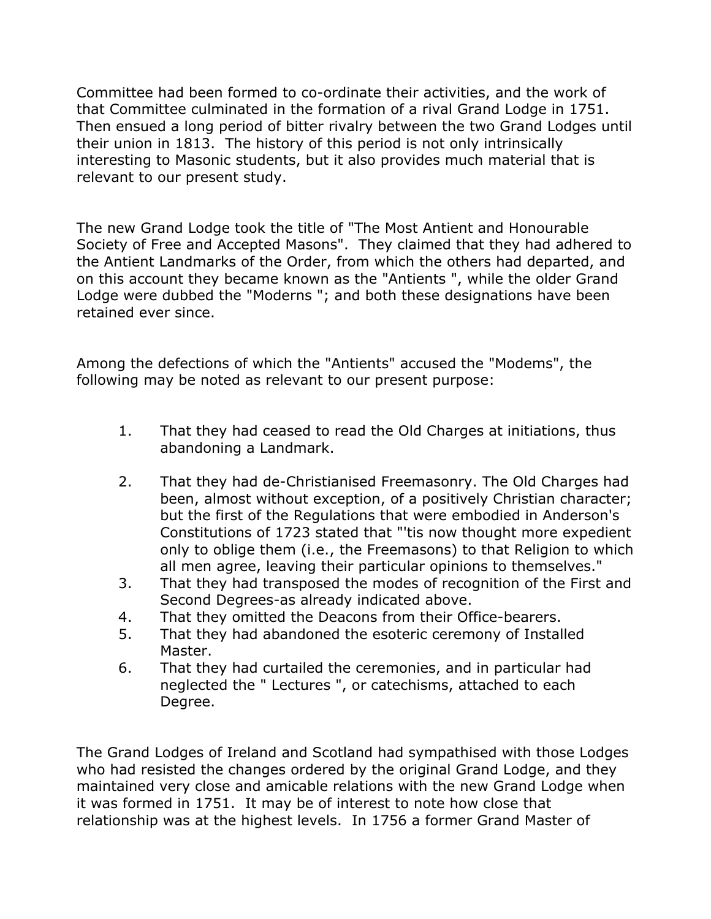Committee had been formed to co-ordinate their activities, and the work of that Committee culminated in the formation of a rival Grand Lodge in 1751. Then ensued a long period of bitter rivalry between the two Grand Lodges until their union in 1813. The history of this period is not only intrinsically interesting to Masonic students, but it also provides much material that is relevant to our present study.

The new Grand Lodge took the title of "The Most Antient and Honourable Society of Free and Accepted Masons". They claimed that they had adhered to the Antient Landmarks of the Order, from which the others had departed, and on this account they became known as the "Antients ", while the older Grand Lodge were dubbed the "Moderns "; and both these designations have been retained ever since.

Among the defections of which the "Antients" accused the "Modems", the following may be noted as relevant to our present purpose:

- 1. That they had ceased to read the Old Charges at initiations, thus abandoning a Landmark.
- 2. That they had de-Christianised Freemasonry. The Old Charges had been, almost without exception, of a positively Christian character; but the first of the Regulations that were embodied in Anderson's Constitutions of 1723 stated that "'tis now thought more expedient only to oblige them (i.e., the Freemasons) to that Religion to which all men agree, leaving their particular opinions to themselves."
- 3. That they had transposed the modes of recognition of the First and Second Degrees-as already indicated above.
- 4. That they omitted the Deacons from their Office-bearers.
- 5. That they had abandoned the esoteric ceremony of Installed Master.
- 6. That they had curtailed the ceremonies, and in particular had neglected the " Lectures ", or catechisms, attached to each Degree.

The Grand Lodges of Ireland and Scotland had sympathised with those Lodges who had resisted the changes ordered by the original Grand Lodge, and they maintained very close and amicable relations with the new Grand Lodge when it was formed in 1751. It may be of interest to note how close that relationship was at the highest levels. In 1756 a former Grand Master of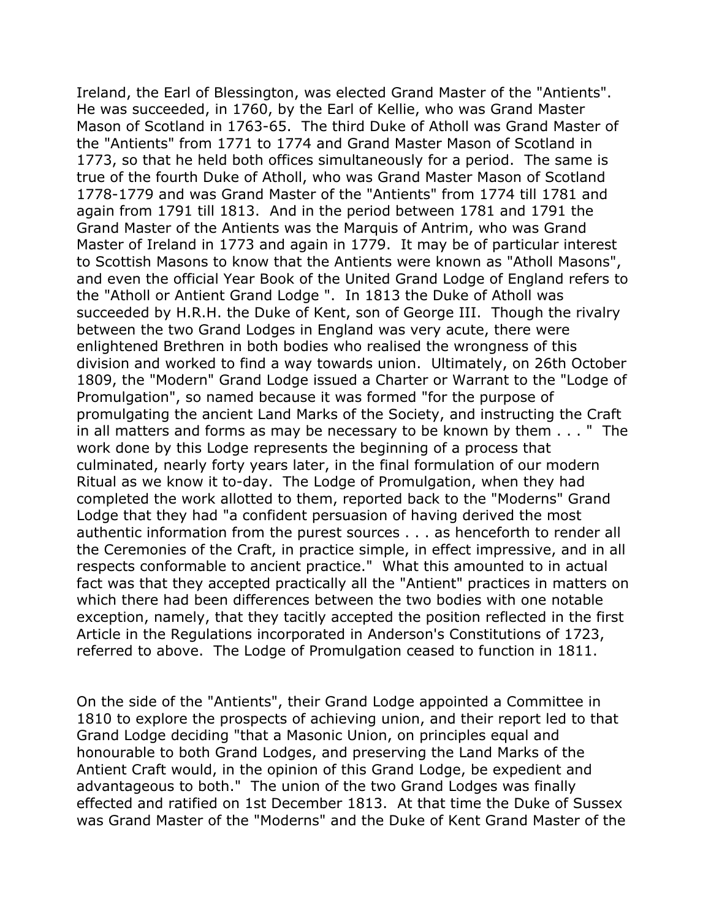Ireland, the Earl of Blessington, was elected Grand Master of the "Antients". He was succeeded, in 1760, by the Earl of Kellie, who was Grand Master Mason of Scotland in 1763-65. The third Duke of Atholl was Grand Master of the "Antients" from 1771 to 1774 and Grand Master Mason of Scotland in 1773, so that he held both offices simultaneously for a period. The same is true of the fourth Duke of Atholl, who was Grand Master Mason of Scotland 1778-1779 and was Grand Master of the "Antients" from 1774 till 1781 and again from 1791 till 1813. And in the period between 1781 and 1791 the Grand Master of the Antients was the Marquis of Antrim, who was Grand Master of Ireland in 1773 and again in 1779. It may be of particular interest to Scottish Masons to know that the Antients were known as "Atholl Masons", and even the official Year Book of the United Grand Lodge of England refers to the "Atholl or Antient Grand Lodge ". In 1813 the Duke of Atholl was succeeded by H.R.H. the Duke of Kent, son of George III. Though the rivalry between the two Grand Lodges in England was very acute, there were enlightened Brethren in both bodies who realised the wrongness of this division and worked to find a way towards union. Ultimately, on 26th October 1809, the "Modern" Grand Lodge issued a Charter or Warrant to the "Lodge of Promulgation", so named because it was formed "for the purpose of promulgating the ancient Land Marks of the Society, and instructing the Craft in all matters and forms as may be necessary to be known by them . . . " The work done by this Lodge represents the beginning of a process that culminated, nearly forty years later, in the final formulation of our modern Ritual as we know it to-day. The Lodge of Promulgation, when they had completed the work allotted to them, reported back to the "Moderns" Grand Lodge that they had "a confident persuasion of having derived the most authentic information from the purest sources . . . as henceforth to render all the Ceremonies of the Craft, in practice simple, in effect impressive, and in all respects conformable to ancient practice." What this amounted to in actual fact was that they accepted practically all the "Antient" practices in matters on which there had been differences between the two bodies with one notable exception, namely, that they tacitly accepted the position reflected in the first Article in the Regulations incorporated in Anderson's Constitutions of 1723, referred to above. The Lodge of Promulgation ceased to function in 1811.

On the side of the "Antients", their Grand Lodge appointed a Committee in 1810 to explore the prospects of achieving union, and their report led to that Grand Lodge deciding "that a Masonic Union, on principles equal and honourable to both Grand Lodges, and preserving the Land Marks of the Antient Craft would, in the opinion of this Grand Lodge, be expedient and advantageous to both." The union of the two Grand Lodges was finally effected and ratified on 1st December 1813. At that time the Duke of Sussex was Grand Master of the "Moderns" and the Duke of Kent Grand Master of the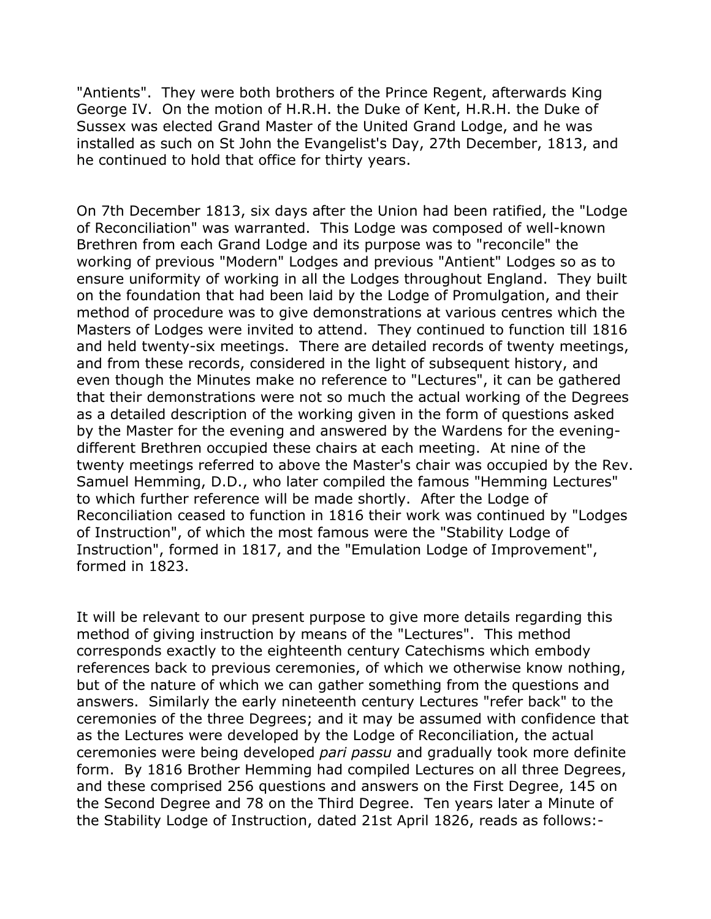"Antients". They were both brothers of the Prince Regent, afterwards King George IV. On the motion of H.R.H. the Duke of Kent, H.R.H. the Duke of Sussex was elected Grand Master of the United Grand Lodge, and he was installed as such on St John the Evangelist's Day, 27th December, 1813, and he continued to hold that office for thirty years.

On 7th December 1813, six days after the Union had been ratified, the "Lodge of Reconciliation" was warranted. This Lodge was composed of well-known Brethren from each Grand Lodge and its purpose was to "reconcile" the working of previous "Modern" Lodges and previous "Antient" Lodges so as to ensure uniformity of working in all the Lodges throughout England. They built on the foundation that had been laid by the Lodge of Promulgation, and their method of procedure was to give demonstrations at various centres which the Masters of Lodges were invited to attend. They continued to function till 1816 and held twenty-six meetings. There are detailed records of twenty meetings, and from these records, considered in the light of subsequent history, and even though the Minutes make no reference to "Lectures", it can be gathered that their demonstrations were not so much the actual working of the Degrees as a detailed description of the working given in the form of questions asked by the Master for the evening and answered by the Wardens for the eveningdifferent Brethren occupied these chairs at each meeting. At nine of the twenty meetings referred to above the Master's chair was occupied by the Rev. Samuel Hemming, D.D., who later compiled the famous "Hemming Lectures" to which further reference will be made shortly. After the Lodge of Reconciliation ceased to function in 1816 their work was continued by "Lodges of Instruction", of which the most famous were the "Stability Lodge of Instruction", formed in 1817, and the "Emulation Lodge of Improvement", formed in 1823.

It will be relevant to our present purpose to give more details regarding this method of giving instruction by means of the "Lectures". This method corresponds exactly to the eighteenth century Catechisms which embody references back to previous ceremonies, of which we otherwise know nothing, but of the nature of which we can gather something from the questions and answers. Similarly the early nineteenth century Lectures "refer back" to the ceremonies of the three Degrees; and it may be assumed with confidence that as the Lectures were developed by the Lodge of Reconciliation, the actual ceremonies were being developed *pari passu* and gradually took more definite form. By 1816 Brother Hemming had compiled Lectures on all three Degrees, and these comprised 256 questions and answers on the First Degree, 145 on the Second Degree and 78 on the Third Degree. Ten years later a Minute of the Stability Lodge of Instruction, dated 21st April 1826, reads as follows:-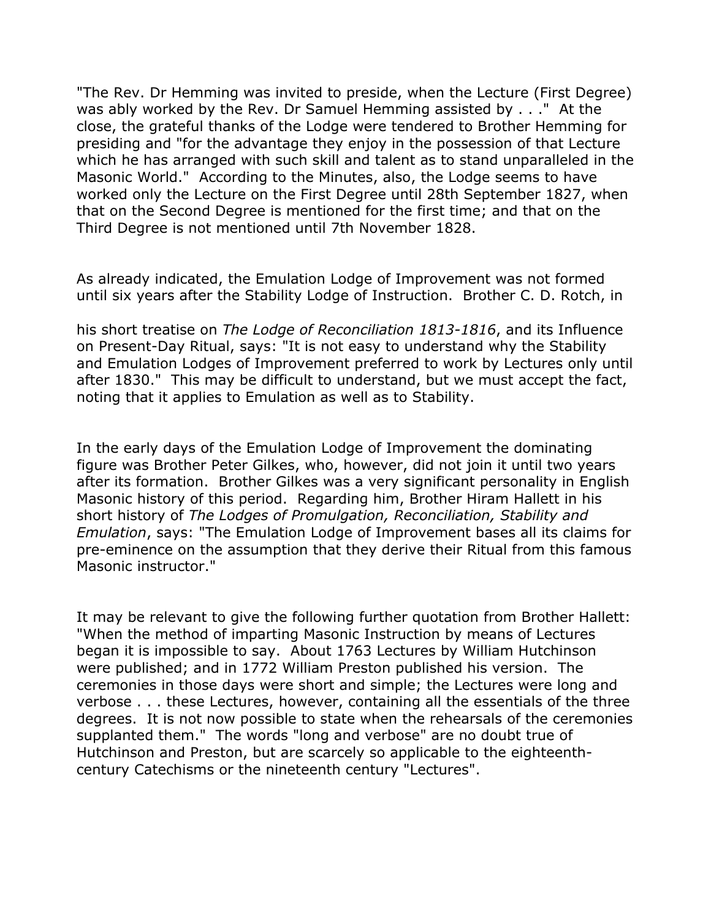"The Rev. Dr Hemming was invited to preside, when the Lecture (First Degree) was ably worked by the Rev. Dr Samuel Hemming assisted by . . ." At the close, the grateful thanks of the Lodge were tendered to Brother Hemming for presiding and "for the advantage they enjoy in the possession of that Lecture which he has arranged with such skill and talent as to stand unparalleled in the Masonic World." According to the Minutes, also, the Lodge seems to have worked only the Lecture on the First Degree until 28th September 1827, when that on the Second Degree is mentioned for the first time; and that on the Third Degree is not mentioned until 7th November 1828.

As already indicated, the Emulation Lodge of Improvement was not formed until six years after the Stability Lodge of Instruction. Brother C. D. Rotch, in

his short treatise on *The Lodge of Reconciliation 1813-1816*, and its Influence on Present-Day Ritual, says: "It is not easy to understand why the Stability and Emulation Lodges of Improvement preferred to work by Lectures only until after 1830." This may be difficult to understand, but we must accept the fact, noting that it applies to Emulation as well as to Stability.

In the early days of the Emulation Lodge of Improvement the dominating figure was Brother Peter Gilkes, who, however, did not join it until two years after its formation. Brother Gilkes was a very significant personality in English Masonic history of this period. Regarding him, Brother Hiram Hallett in his short history of *The Lodges of Promulgation, Reconciliation, Stability and Emulation*, says: "The Emulation Lodge of Improvement bases all its claims for pre-eminence on the assumption that they derive their Ritual from this famous Masonic instructor."

It may be relevant to give the following further quotation from Brother Hallett: "When the method of imparting Masonic Instruction by means of Lectures began it is impossible to say. About 1763 Lectures by William Hutchinson were published; and in 1772 William Preston published his version. The ceremonies in those days were short and simple; the Lectures were long and verbose . . . these Lectures, however, containing all the essentials of the three degrees. It is not now possible to state when the rehearsals of the ceremonies supplanted them." The words "long and verbose" are no doubt true of Hutchinson and Preston, but are scarcely so applicable to the eighteenthcentury Catechisms or the nineteenth century "Lectures".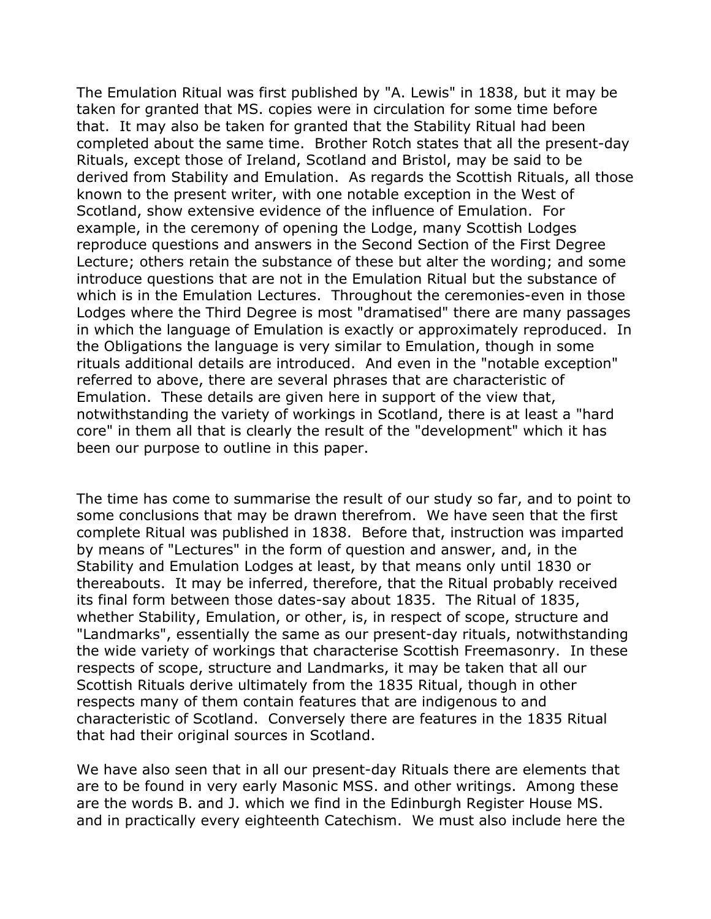The Emulation Ritual was first published by "A. Lewis" in 1838, but it may be taken for granted that MS. copies were in circulation for some time before that. It may also be taken for granted that the Stability Ritual had been completed about the same time. Brother Rotch states that all the present-day Rituals, except those of Ireland, Scotland and Bristol, may be said to be derived from Stability and Emulation. As regards the Scottish Rituals, all those known to the present writer, with one notable exception in the West of Scotland, show extensive evidence of the influence of Emulation. For example, in the ceremony of opening the Lodge, many Scottish Lodges reproduce questions and answers in the Second Section of the First Degree Lecture; others retain the substance of these but alter the wording; and some introduce questions that are not in the Emulation Ritual but the substance of which is in the Emulation Lectures. Throughout the ceremonies-even in those Lodges where the Third Degree is most "dramatised" there are many passages in which the language of Emulation is exactly or approximately reproduced. In the Obligations the language is very similar to Emulation, though in some rituals additional details are introduced. And even in the "notable exception" referred to above, there are several phrases that are characteristic of Emulation. These details are given here in support of the view that, notwithstanding the variety of workings in Scotland, there is at least a "hard core" in them all that is clearly the result of the "development" which it has been our purpose to outline in this paper.

The time has come to summarise the result of our study so far, and to point to some conclusions that may be drawn therefrom. We have seen that the first complete Ritual was published in 1838. Before that, instruction was imparted by means of "Lectures" in the form of question and answer, and, in the Stability and Emulation Lodges at least, by that means only until 1830 or thereabouts. It may be inferred, therefore, that the Ritual probably received its final form between those dates-say about 1835. The Ritual of 1835, whether Stability, Emulation, or other, is, in respect of scope, structure and "Landmarks", essentially the same as our present-day rituals, notwithstanding the wide variety of workings that characterise Scottish Freemasonry. In these respects of scope, structure and Landmarks, it may be taken that all our Scottish Rituals derive ultimately from the 1835 Ritual, though in other respects many of them contain features that are indigenous to and characteristic of Scotland. Conversely there are features in the 1835 Ritual that had their original sources in Scotland.

We have also seen that in all our present-day Rituals there are elements that are to be found in very early Masonic MSS. and other writings. Among these are the words B. and J. which we find in the Edinburgh Register House MS. and in practically every eighteenth Catechism. We must also include here the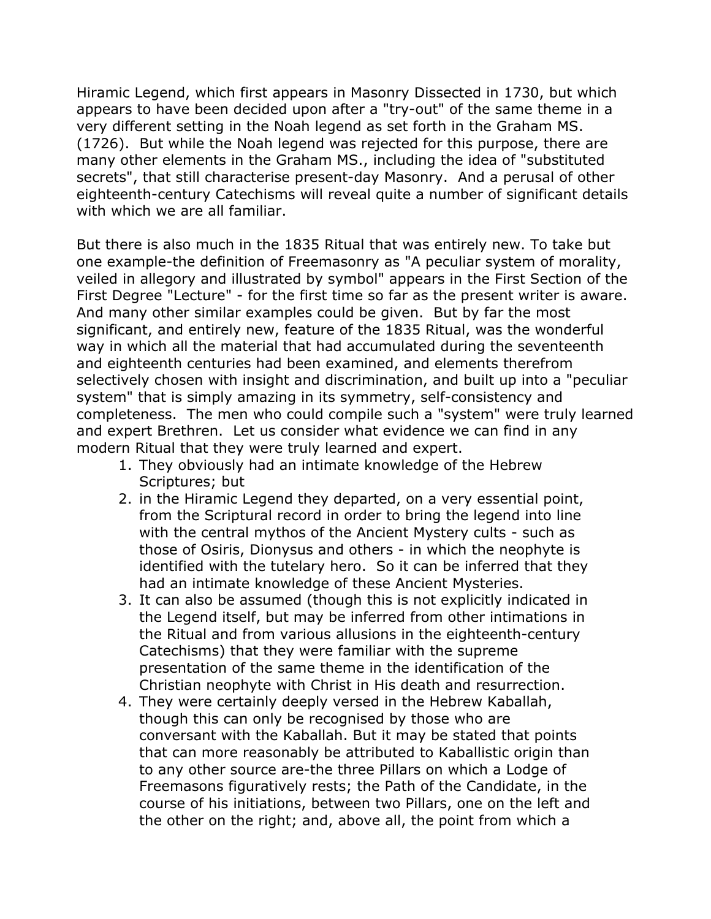Hiramic Legend, which first appears in Masonry Dissected in 1730, but which appears to have been decided upon after a "try-out" of the same theme in a very different setting in the Noah legend as set forth in the Graham MS. (1726). But while the Noah legend was rejected for this purpose, there are many other elements in the Graham MS., including the idea of "substituted secrets", that still characterise present-day Masonry. And a perusal of other eighteenth-century Catechisms will reveal quite a number of significant details with which we are all familiar.

But there is also much in the 1835 Ritual that was entirely new. To take but one example-the definition of Freemasonry as "A peculiar system of morality, veiled in allegory and illustrated by symbol" appears in the First Section of the First Degree "Lecture" - for the first time so far as the present writer is aware. And many other similar examples could be given. But by far the most significant, and entirely new, feature of the 1835 Ritual, was the wonderful way in which all the material that had accumulated during the seventeenth and eighteenth centuries had been examined, and elements therefrom selectively chosen with insight and discrimination, and built up into a "peculiar system" that is simply amazing in its symmetry, self-consistency and completeness. The men who could compile such a "system" were truly learned and expert Brethren. Let us consider what evidence we can find in any modern Ritual that they were truly learned and expert.

- 1. They obviously had an intimate knowledge of the Hebrew Scriptures; but
- 2. in the Hiramic Legend they departed, on a very essential point, from the Scriptural record in order to bring the legend into line with the central mythos of the Ancient Mystery cults - such as those of Osiris, Dionysus and others - in which the neophyte is identified with the tutelary hero. So it can be inferred that they had an intimate knowledge of these Ancient Mysteries.
- 3. It can also be assumed (though this is not explicitly indicated in the Legend itself, but may be inferred from other intimations in the Ritual and from various allusions in the eighteenth-century Catechisms) that they were familiar with the supreme presentation of the same theme in the identification of the Christian neophyte with Christ in His death and resurrection.
- 4. They were certainly deeply versed in the Hebrew Kaballah, though this can only be recognised by those who are conversant with the Kaballah. But it may be stated that points that can more reasonably be attributed to Kaballistic origin than to any other source are-the three Pillars on which a Lodge of Freemasons figuratively rests; the Path of the Candidate, in the course of his initiations, between two Pillars, one on the left and the other on the right; and, above all, the point from which a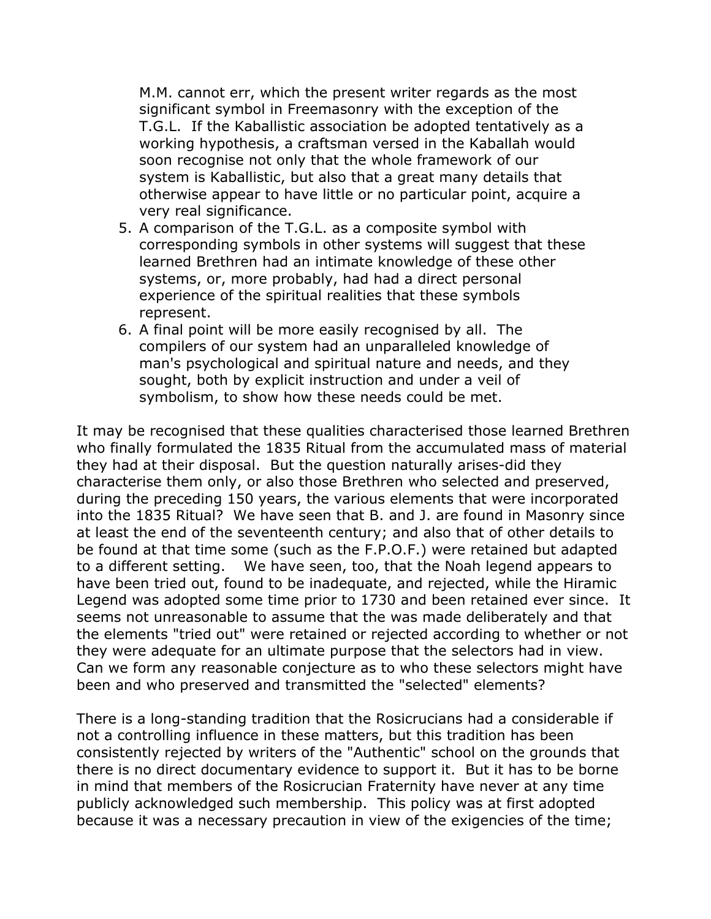M.M. cannot err, which the present writer regards as the most significant symbol in Freemasonry with the exception of the T.G.L. If the Kaballistic association be adopted tentatively as a working hypothesis, a craftsman versed in the Kaballah would soon recognise not only that the whole framework of our system is Kaballistic, but also that a great many details that otherwise appear to have little or no particular point, acquire a very real significance.

- 5. A comparison of the T.G.L. as a composite symbol with corresponding symbols in other systems will suggest that these learned Brethren had an intimate knowledge of these other systems, or, more probably, had had a direct personal experience of the spiritual realities that these symbols represent.
- 6. A final point will be more easily recognised by all. The compilers of our system had an unparalleled knowledge of man's psychological and spiritual nature and needs, and they sought, both by explicit instruction and under a veil of symbolism, to show how these needs could be met.

It may be recognised that these qualities characterised those learned Brethren who finally formulated the 1835 Ritual from the accumulated mass of material they had at their disposal. But the question naturally arises-did they characterise them only, or also those Brethren who selected and preserved, during the preceding 150 years, the various elements that were incorporated into the 1835 Ritual? We have seen that B. and J. are found in Masonry since at least the end of the seventeenth century; and also that of other details to be found at that time some (such as the F.P.O.F.) were retained but adapted to a different setting. We have seen, too, that the Noah legend appears to have been tried out, found to be inadequate, and rejected, while the Hiramic Legend was adopted some time prior to 1730 and been retained ever since. It seems not unreasonable to assume that the was made deliberately and that the elements "tried out" were retained or rejected according to whether or not they were adequate for an ultimate purpose that the selectors had in view. Can we form any reasonable conjecture as to who these selectors might have been and who preserved and transmitted the "selected" elements?

There is a long-standing tradition that the Rosicrucians had a considerable if not a controlling influence in these matters, but this tradition has been consistently rejected by writers of the "Authentic" school on the grounds that there is no direct documentary evidence to support it. But it has to be borne in mind that members of the Rosicrucian Fraternity have never at any time publicly acknowledged such membership. This policy was at first adopted because it was a necessary precaution in view of the exigencies of the time;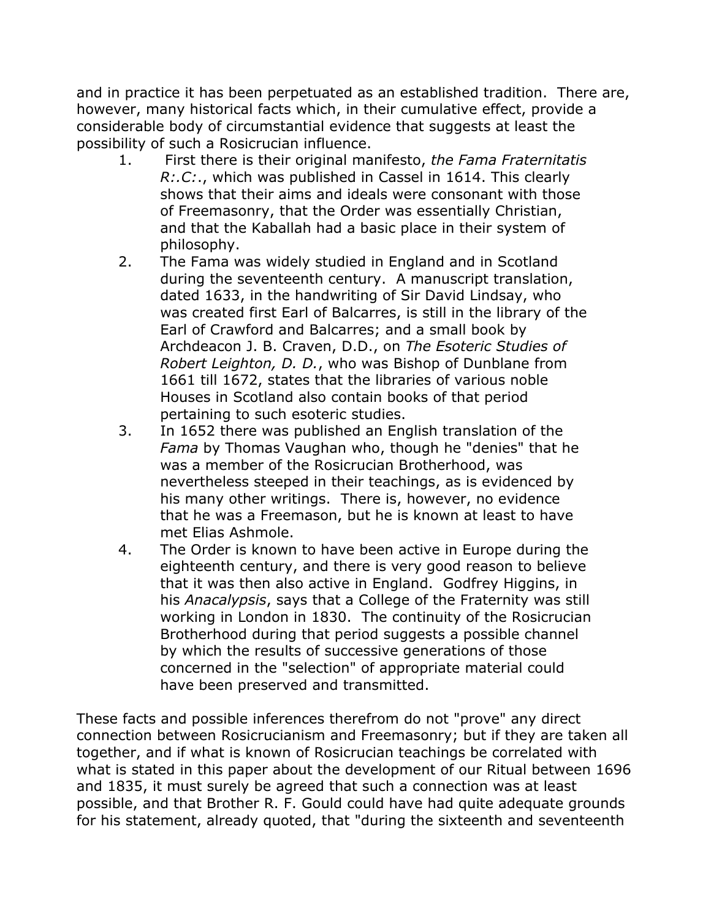and in practice it has been perpetuated as an established tradition. There are, however, many historical facts which, in their cumulative effect, provide a considerable body of circumstantial evidence that suggests at least the possibility of such a Rosicrucian influence.

- 1. First there is their original manifesto, *the Fama Fraternitatis R:.C:*., which was published in Cassel in 1614. This clearly shows that their aims and ideals were consonant with those of Freemasonry, that the Order was essentially Christian, and that the Kaballah had a basic place in their system of philosophy.
- 2. The Fama was widely studied in England and in Scotland during the seventeenth century. A manuscript translation, dated 1633, in the handwriting of Sir David Lindsay, who was created first Earl of Balcarres, is still in the library of the Earl of Crawford and Balcarres; and a small book by Archdeacon J. B. Craven, D.D., on *The Esoteric Studies of Robert Leighton, D. D.*, who was Bishop of Dunblane from 1661 till 1672, states that the libraries of various noble Houses in Scotland also contain books of that period pertaining to such esoteric studies.
- 3. In 1652 there was published an English translation of the *Fama* by Thomas Vaughan who, though he "denies" that he was a member of the Rosicrucian Brotherhood, was nevertheless steeped in their teachings, as is evidenced by his many other writings. There is, however, no evidence that he was a Freemason, but he is known at least to have met Elias Ashmole.
- 4. The Order is known to have been active in Europe during the eighteenth century, and there is very good reason to believe that it was then also active in England. Godfrey Higgins, in his *Anacalypsis*, says that a College of the Fraternity was still working in London in 1830. The continuity of the Rosicrucian Brotherhood during that period suggests a possible channel by which the results of successive generations of those concerned in the "selection" of appropriate material could have been preserved and transmitted.

These facts and possible inferences therefrom do not "prove" any direct connection between Rosicrucianism and Freemasonry; but if they are taken all together, and if what is known of Rosicrucian teachings be correlated with what is stated in this paper about the development of our Ritual between 1696 and 1835, it must surely be agreed that such a connection was at least possible, and that Brother R. F. Gould could have had quite adequate grounds for his statement, already quoted, that "during the sixteenth and seventeenth